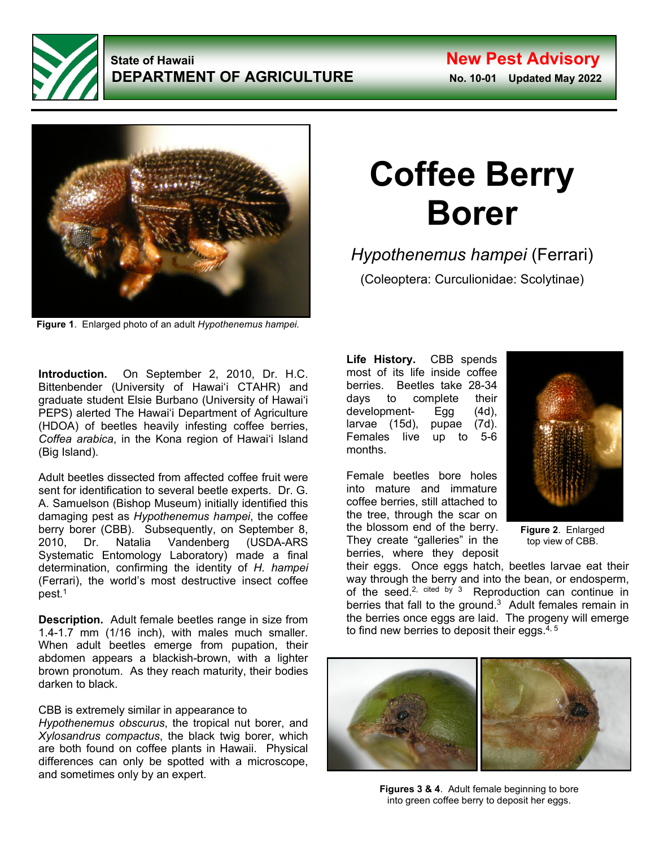

## **State of Hawaii New Pest Advisory DEPARTMENT OF AGRICULTURE** No. 10-01 Updated May 2022



**Figure 1**. Enlarged photo of an adult *Hypothenemus hampei*.

**Introduction.** On September 2, 2010, Dr. H.C. Bittenbender (University of Hawaiʻi CTAHR) and graduate student Elsie Burbano (University of Hawaiʻi PEPS) alerted The Hawaiʻi Department of Agriculture (HDOA) of beetles heavily infesting coffee berries, *Coffea arabica*, in the Kona region of Hawaiʻi Island (Big Island).

Adult beetles dissected from affected coffee fruit were sent for identification to several beetle experts. Dr. G. A. Samuelson (Bishop Museum) initially identified this damaging pest as *Hypothenemus hampei*, the coffee berry borer (CBB). Subsequently, on September 8,<br>2010. Dr. Natalia Vandenberg (USDA-ARS) 2010, Dr. Natalia Vandenberg (USDA-ARS Systematic Entomology Laboratory) made a final determination, confirming the identity of *H. hampei* (Ferrari), the world's most destructive insect coffee pest. 1

**Description.** Adult female beetles range in size from 1.4-1.7 mm (1/16 inch), with males much smaller. When adult beetles emerge from pupation, their abdomen appears a blackish-brown, with a lighter brown pronotum. As they reach maturity, their bodies darken to black.

CBB is extremely similar in appearance to *Hypothenemus obscurus*, the tropical nut borer, and

*Xylosandrus compactus*, the black twig borer, which are both found on coffee plants in Hawaii. Physical differences can only be spotted with a microscope, and sometimes only by an expert.

## **Coffee Berry Borer**

*Hypothenemus hampei* (Ferrari)

(Coleoptera: Curculionidae: Scolytinae)

**Life History.** CBB spends most of its life inside coffee berries. Beetles take 28-34 days to complete their development- Egg (4d), larvae (15d), pupae (7d). Females live up to 5-6 months.

Female beetles bore holes into mature and immature coffee berries, still attached to the tree, through the scar on the blossom end of the berry. They create "galleries" in the berries, where they deposit



**Figure 2**. Enlarged top view of CBB.

their eggs. Once eggs hatch, beetles larvae eat their way through the berry and into the bean, or endosperm, of the seed.<sup>2, cited by 3</sup> Reproduction can continue in berries that fall to the ground. 3 Adult females remain in the berries once eggs are laid. The progeny will emerge to find new berries to deposit their eggs. 4, 5



**Figures 3 & 4**. Adult female beginning to bore into green coffee berry to deposit her eggs.